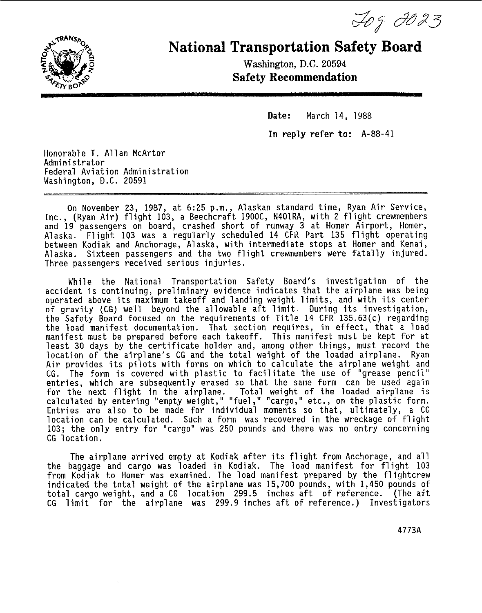Tog 2023



## **National Transportation Safety Board**

Washington, D.C. **20594 Safety Recommendation** 

> Date: March 14, 1988 In **reply refer** *to:* A-88-41

Honorable T. Allan McArtor Administrator Federal Aviation Administration Washington, **D.C.** 20591

On November 23, 1987, at 6:25 p.m., Alaskan standard time, Ryan Air Service, Inc., (Ryan Air) flight 103, a Beechcraft 1900C, N401RA, with 2 flight crewmembers and 19 passengers on board, crashed short of runway 3 at Homer Airport, Homer, Alaska. Flight 103 was a regularly scheduled 14 CFR Part 135 flight operating between Kodiak and Anchorage, Alaska, with intermediate stops at Homer and Kenai, Alaska. Sixteen passengers and the two flight crewmembers were fatally injured. Three passengers received serious injuries.

While the National Transportation Safety Board's investigation of the accident is continuing, preliminary evidence indicates that the airplane was being operated above its maximum takeoff and landing weight limits, and with its center of gravity **(CG)** well beyond the allowable aft limit. During its investigation, the Safety Board focused on the requirements of Title 14 **CFR** 135.63(c) regarding the load manifest documentation. That section requires, in effect, that a load manifest must be prepared before each takeoff. This manifest must be kept for at least 30 days by the certificate holder and, among other things, must record the location of the airplane's **CG** and the total weight of the loaded airplane. Ryan Air provides its pilots with forms on which to calculate the airplane weight and **CG.** The form is covered with plastic to facilitate the use of "grease pencil" entries, which are subsequently erased so that the same form can be used again for the next flight in the airplane. Total weight of the loaded airplane is calculated by entering "empty weight," "fuel **,I'** "cargo," etc., on the plastic form. Entries are also to be made for individual moments so that, ultimately, a **CG**  location can be calculated. Such a form was recovered in the wreckage of flight 103; the only entry for "cargo" was 250 pounds and there was no entry concerning **CG** location.

The airplane arrived empty at Kodiak after its flight from Anchorage, and all the baggage and cargo was loaded in Kodiak. The load manifest for flight 103 from Kodiak to Homer was examined. The load manifest prepared by the flightcrew indicated the total weight of the airplane was 15,700 pounds, with 1,450 pounds of total cargo weight, and a **CG** location 299.5 inches aft of reference. (The aft **CG** limit for the airplane was 299.9 inches aft of reference.) Investigators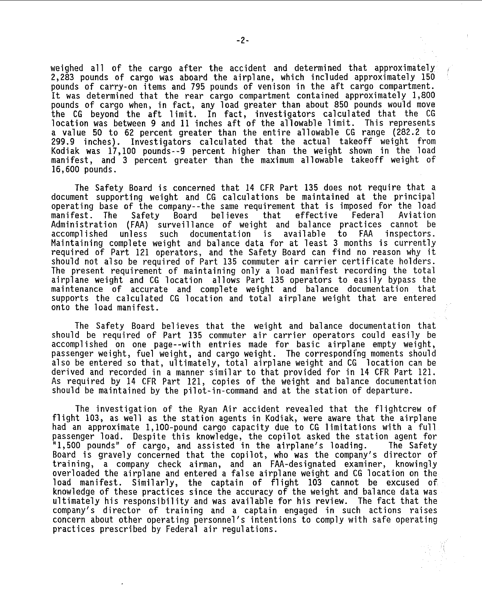weighed all of the cargo after the accident and determined that approximately 2,283 pounds of cargo was aboard the airplane, which included approximately 150 pounds of carry-on items and 795 pounds of venison in the aft cargo compartment. It was determined that the rear cargo compartment contained approximately 1,800 pounds of cargo when, in fact, any load greater than about 850 pounds would move the CG beyond the aft limit. In fact, investigators calculated that the CG location was between 9 and 11 inches aft of the allowable limit. This represents a value 50 to 62 percent greater than the entire allowable CG range (282.2 *to*  299.9 inches). Investigators calculated that the actual takeoff weight from Kodiak was 17,100 pounds--9 percent higher than the weight shown in the load manifest, and 3 percent greater than the maximum allowable takeoff weight of 16,600 pounds.

The Safety Board is concerned that 14 CFR Part 135 does not require that a document supporting weight and CG calculations be maintained at the principal operating base of the company--the same requirement that is imposed for the load<br>manifest. The Safety Board believes that effective Federal Aviation manifest. The Safety Board believes that effective Federal Aviation Administration (FAA) surveillance of weight and balance practices cannot be accomplished unless such documentation is available to FAA inspectors. Maintaining complete weight and balance data for at least 3 months is currently required of Part 121 operators, and the Safety Board can find no reason why it should not also be required of Part 135 commuter air carrier certificate holders. 'The present requirement of maintaining only a load manifest recording the total airplane weight and CG location allows Part 135 operators to easily bypass the maintenance of accurate and complete weight and balance documentation that supports the calculated CG location and total airplane weight that are entered onto the load manifest.

The Safety Board believes that the weight and balance documentation that should be required of Part 135 commuter air carrier operators could easily be accomplished on one page--with entries made for basic airplane empty weight, passenger weight, fuel weight, and cargo weight. The correspondi'ng moments should also be entered so that, ultimately, total airplane weight and CG location can be derived and recorded in a manner similar to that provided for in 14 CFR Part 121. As required by 14 CFR Part 121, copies of the weight and balance documentation should be maintained by the pilot-in-command and at the station of departure.

The investigation of the Ryan Air accident revealed that the flightcrew of flight 103, as well as the station agents in Kodiak, were aware that the airplane had an approximate 1,100-pound cargo capacity due to CG limitations with a full passenger load. Despite this knowledge, the copilot asked the station agent for "1,500 pounds" of cargo, and assisted in the airplane's loading. Board is gravely concerned that the copilot, who was the company's director of training, a company check airman, and an FAA-designated examiner, knowingly overloaded the airplane and entered a false airplane weight and CG location on the load manifest. Similarly, the captain of flight 103 cannot be excused of knowledge of these practices since the accuracy of the weight and balance data was ultimately his responsibility and was available for his review. lhe fact that the company's director of training and a captain engaged in such actions raises concern about other operating personnel's intentions to comply with safe operating practices prescribed by Federal air regulations.